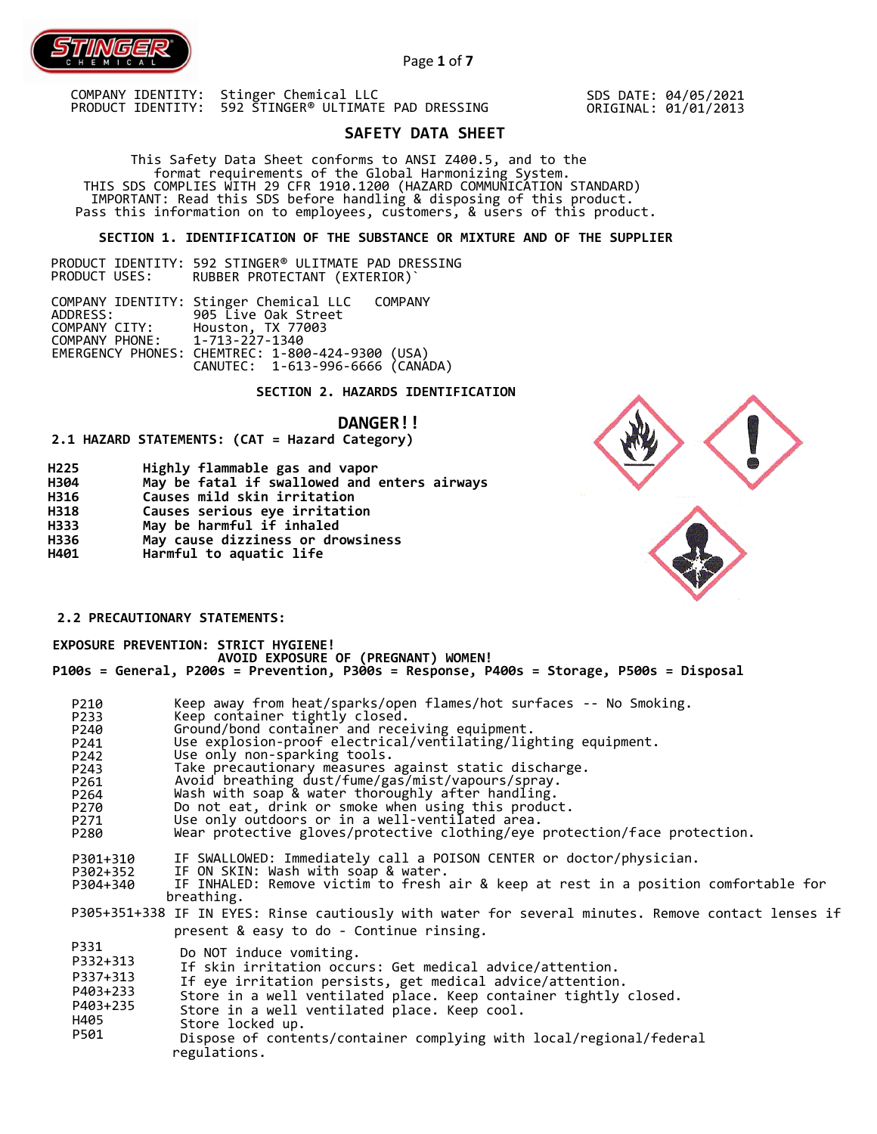

SDS DATE: 04/05/2021 ORIGINAL: 01/01/2013

# **SAFETY DATA SHEET**

 This Safety Data Sheet conforms to ANSI Z400.5, and to the format requirements of the Global Harmonizing System. THIS SDS COMPLIES WITH 29 CFR 1910.1200 (HAZARD COMMUNICATION STANDARD) IMPORTANT: Read this SDS before handling & disposing of this product. Pass this information on to employees, customers, & users of this product.

## **SECTION 1. IDENTIFICATION OF THE SUBSTANCE OR MIXTURE AND OF THE SUPPLIER**

PRODUCT IDENTITY: 592 STINGER® ULITMATE PAD DRESSING RUBBER PROTECTANT (EXTERIOR)`

COMPANY IDENTITY: Stinger Chemical LLC COMPANY ADDRESS: 905 Live Oak Street COMPANY CITY: Houston, TX 77003 COMPANY PHONE: 1-713-227-1340 EMERGENCY PHONES: CHEMTREC: 1-800-424-9300 (USA) CANUTEC: 1-613-996-6666 (CANADA)

#### **SECTION 2. HAZARDS IDENTIFICATION**

### **DANGER!!**

**2.1 HAZARD STATEMENTS: (CAT = Hazard Category)**

**Harmful to aquatic life**

regulations.

| H <sub>225</sub> | Highly flammable gas and vapor               |
|------------------|----------------------------------------------|
| H304             | May be fatal if swallowed and enters airways |
| H316             | Causes mild skin irritation                  |
| H318             | Causes serious eye irritation                |
| H333             | May be harmful if inhaled                    |
| H336             | May cause dizziness or drowsiness            |

## **2.2 PRECAUTIONARY STATEMENTS:**

**H401** 

 **EXPOSURE PREVENTION: STRICT HYGIENE! AVOID EXPOSURE OF (PREGNANT) WOMEN! P100s = General, P200s = Prevention, P300s = Response, P400s = Storage, P500s = Disposal** 

| Keep away from heat/sparks/open flames/hot surfaces -- No Smoking.<br>P210                         |  |
|----------------------------------------------------------------------------------------------------|--|
| Keep container tightly closed.<br>P233                                                             |  |
| Ground/bond container and receiving equipment.<br>P240                                             |  |
| Use explosion-proof electrical/ventilating/lighting equipment.<br>P241                             |  |
| Use only non-sparking tools.<br>P242                                                               |  |
| Take precautionary measures against static discharge.<br>P243                                      |  |
| Avoid breathing dust/fume/gas/mist/vapours/spray.<br>P261                                          |  |
| Wash with soap & water thoroughly after handling.<br>P264                                          |  |
| Do not eat, drink or smoke when using this product.<br>P270                                        |  |
| Use only outdoors or in a well-ventilated area.<br>P271                                            |  |
| Wear protective gloves/protective clothing/eye protection/face protection.<br>P280                 |  |
|                                                                                                    |  |
| IF SWALLOWED: Immediately call a POISON CENTER or doctor/physician.<br>P301+310                    |  |
| IF ON SKIN: Wash with soap & water.<br>P302+352                                                    |  |
| IF INHALED: Remove victim to fresh air & keep at rest in a position comfortable for<br>P304+340    |  |
| breathing.                                                                                         |  |
| P305+351+338 IF IN EYES: Rinse cautiously with water for several minutes. Remove contact lenses if |  |
| present & easy to do - Continue rinsing.                                                           |  |
| P331<br>Do NOT induce vomiting.                                                                    |  |
| P332+313                                                                                           |  |
| If skin irritation occurs: Get medical advice/attention.<br>P337+313                               |  |
| If eye irritation persists, get medical advice/attention.<br>P403+233                              |  |
| Store in a well ventilated place. Keep container tightly closed.<br>P403+235                       |  |
| Store in a well ventilated place. Keep cool.                                                       |  |
| H405<br>Store locked up.                                                                           |  |
| P501<br>Dispose of contents/container complying with local/regional/federal                        |  |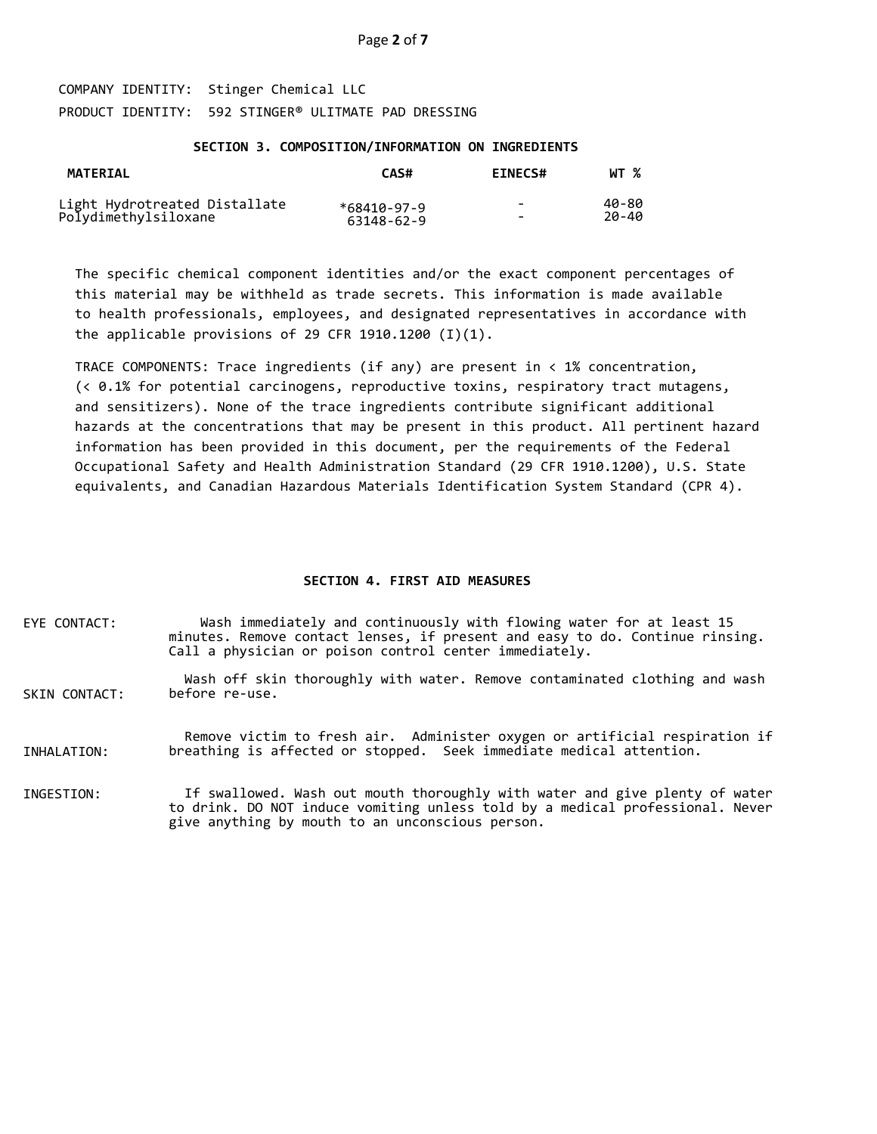#### **SECTION 3. COMPOSITION/INFORMATION ON INGREDIENTS**

| <b>MATERIAL</b>                                       | CAS#        | <b>EINECS#</b>           | WT %  |
|-------------------------------------------------------|-------------|--------------------------|-------|
| Light Hydrotreated Distallate<br>Polydimethylsiloxane | *68410-97-9 | $\overline{\phantom{0}}$ | 40-80 |
|                                                       | 63148-62-9  | -                        | 20-40 |

The specific chemical component identities and/or the exact component percentages of this material may be withheld as trade secrets. This information is made available to health professionals, employees, and designated representatives in accordance with the applicable provisions of 29 CFR 1910.1200  $(I)(1)$ .

TRACE COMPONENTS: Trace ingredients (if any) are present in < 1% concentration, (< 0.1% for potential carcinogens, reproductive toxins, respiratory tract mutagens, and sensitizers). None of the trace ingredients contribute significant additional hazards at the concentrations that may be present in this product. All pertinent hazard information has been provided in this document, per the requirements of the Federal Occupational Safety and Health Administration Standard (29 CFR 1910.1200), U.S. State equivalents, and Canadian Hazardous Materials Identification System Standard (CPR 4).

#### **SECTION 4. FIRST AID MEASURES**

EYE CONTACT: Wash immediately and continuously with flowing water for at least 15 minutes. Remove contact lenses, if present and easy to do. Continue rinsing. Call a physician or poison control center immediately.

SKIN CONTACT: Wash off skin thoroughly with water. Remove contaminated clothing and wash before re-use.

INHALATION: Remove victim to fresh air. Administer oxygen or artificial respiration if breathing is affected or stopped. Seek immediate medical attention.

INGESTION: If swallowed. Wash out mouth thoroughly with water and give plenty of water to drink. DO NOT induce vomiting unless told by a medical professional. Never give anything by mouth to an unconscious person.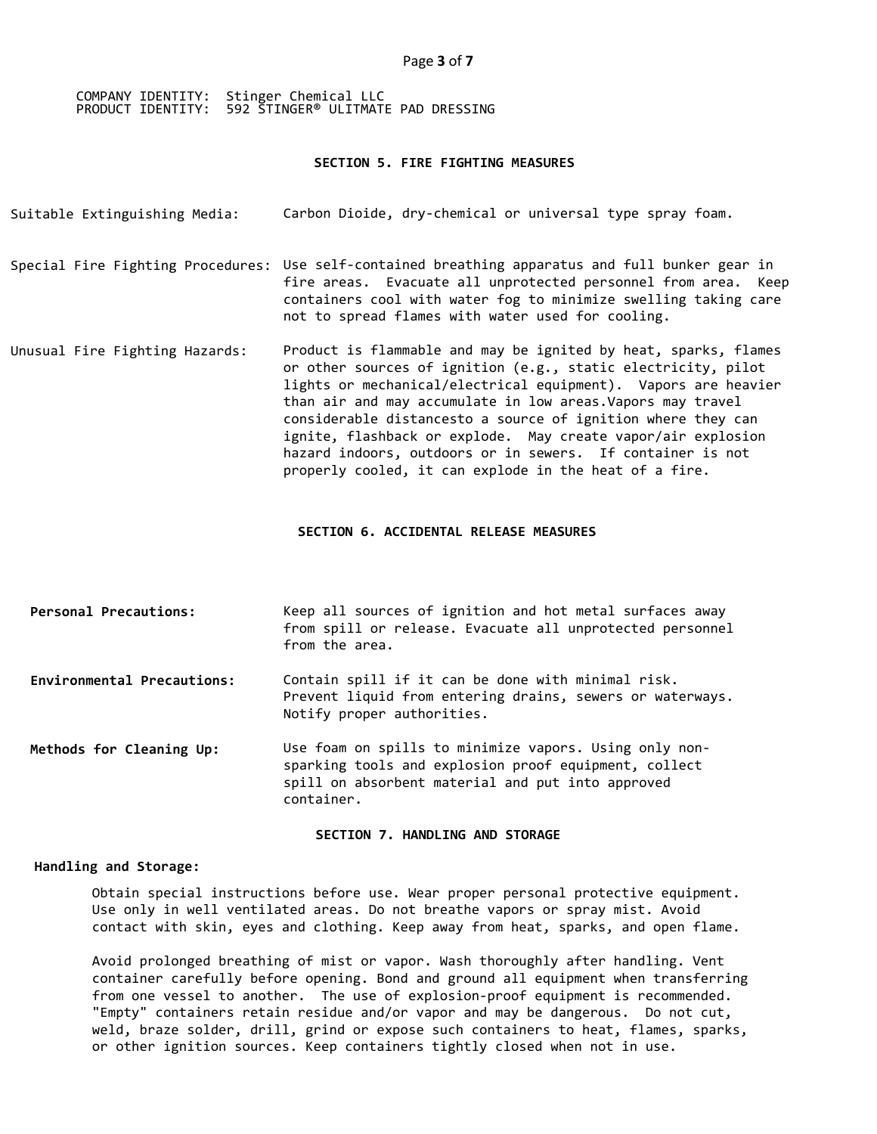### **SECTION 5. FIRE FIGHTING MEASURES**

| Suitable Extinguishing Media:  | Carbon Dioide, dry-chemical or universal type spray foam.                                                                                                                                                                                                                                                                                                                                                                                                                                                                 |
|--------------------------------|---------------------------------------------------------------------------------------------------------------------------------------------------------------------------------------------------------------------------------------------------------------------------------------------------------------------------------------------------------------------------------------------------------------------------------------------------------------------------------------------------------------------------|
|                                | Special Fire Fighting Procedures: Use self-contained breathing apparatus and full bunker gear in<br>fire areas. Evacuate all unprotected personnel from area. Keep<br>containers cool with water fog to minimize swelling taking care<br>not to spread flames with water used for cooling.                                                                                                                                                                                                                                |
| Unusual Fire Fighting Hazards: | Product is flammable and may be ignited by heat, sparks, flames<br>or other sources of ignition (e.g., static electricity, pilot<br>lights or mechanical/electrical equipment). Vapors are heavier<br>than air and may accumulate in low areas. Vapors may travel<br>considerable distancesto a source of ignition where they can<br>ignite, flashback or explode. May create vapor/air explosion<br>hazard indoors, outdoors or in sewers. If container is not<br>properly cooled, it can explode in the heat of a fire. |

## **SECTION 6. ACCIDENTAL RELEASE MEASURES**

| Personal Precautions:      | Keep all sources of ignition and hot metal surfaces away<br>from spill or release. Evacuate all unprotected personnel<br>from the area. |
|----------------------------|-----------------------------------------------------------------------------------------------------------------------------------------|
| Environmental Precautions: | Contain spill if it can be done with minimal risk.                                                                                      |

Prevent liquid from entering drains, sewers or waterways. Notify proper authorities.

Use foam on spills to minimize vapors. Using only nonsparking tools and explosion proof equipment, collect spill on absorbent material and put into approved container. **Methods for Cleaning Up:**

**SECTION 7. HANDLING AND STORAGE** 

## **Handling and Storage:**

Obtain special instructions before use. Wear proper personal protective equipment. Use only in well ventilated areas. Do not breathe vapors or spray mist. Avoid contact with skin, eyes and clothing. Keep away from heat, sparks, and open flame.

Avoid prolonged breathing of mist or vapor. Wash thoroughly after handling. Vent container carefully before opening. Bond and ground all equipment when transferring from one vessel to another. The use of explosion-proof equipment is recommended. "Empty" containers retain residue and/or vapor and may be dangerous. Do not cut, weld, braze solder, drill, grind or expose such containers to heat, flames, sparks, or other ignition sources. Keep containers tightly closed when not in use.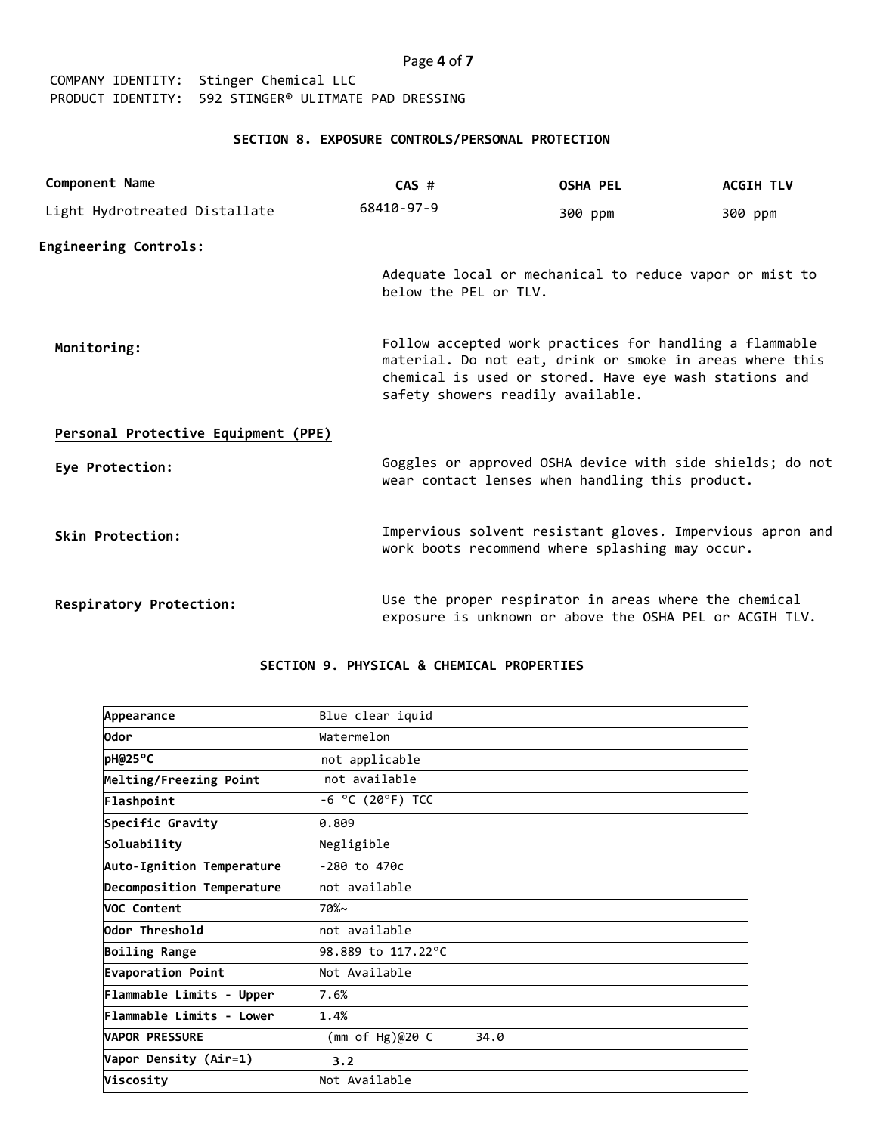| Page 4 of 7 |  |  |  |
|-------------|--|--|--|
|-------------|--|--|--|

## **SECTION 8. EXPOSURE CONTROLS/PERSONAL PROTECTION**

| Component Name                      | $CAS$ #                                                                                                                                                                                                            | <b>OSHA PEL</b>                                                                                                  | <b>ACGIH TLV</b> |
|-------------------------------------|--------------------------------------------------------------------------------------------------------------------------------------------------------------------------------------------------------------------|------------------------------------------------------------------------------------------------------------------|------------------|
| Light Hydrotreated Distallate       | 68410-97-9                                                                                                                                                                                                         | 300 ppm                                                                                                          | 300 ppm          |
| <b>Engineering Controls:</b>        |                                                                                                                                                                                                                    |                                                                                                                  |                  |
|                                     | below the PEL or TLV.                                                                                                                                                                                              | Adequate local or mechanical to reduce vapor or mist to                                                          |                  |
| Monitoring:                         | Follow accepted work practices for handling a flammable<br>material. Do not eat, drink or smoke in areas where this<br>chemical is used or stored. Have eye wash stations and<br>safety showers readily available. |                                                                                                                  |                  |
| Personal Protective Equipment (PPE) |                                                                                                                                                                                                                    |                                                                                                                  |                  |
| Eye Protection:                     |                                                                                                                                                                                                                    | Goggles or approved OSHA device with side shields; do not<br>wear contact lenses when handling this product.     |                  |
| Skin Protection:                    |                                                                                                                                                                                                                    | Impervious solvent resistant gloves. Impervious apron and<br>work boots recommend where splashing may occur.     |                  |
| Respiratory Protection:             |                                                                                                                                                                                                                    | Use the proper respirator in areas where the chemical<br>exposure is unknown or above the OSHA PEL or ACGIH TLV. |                  |

## **SECTION 9. PHYSICAL & CHEMICAL PROPERTIES**

| Appearance                | Blue clear iquid           |
|---------------------------|----------------------------|
| 0dor                      | Watermelon                 |
| pH@25°C                   | not applicable             |
| Melting/Freezing Point    | not available              |
| Flashpoint                | -6 °C (20°F) TCC           |
| Specific Gravity          | 0.809                      |
| Soluability               | Negligible                 |
| Auto-Ignition Temperature | -280 to 470c               |
| Decomposition Temperature | not available              |
| <b>VOC Content</b>        | $70%$ ~                    |
| Odor Threshold            | mot available              |
| <b>Boiling Range</b>      | 98.889 to 117.22°C         |
| Evaporation Point         | Not Available              |
| Flammable Limits - Upper  | 7.6%                       |
| Flammable Limits - Lower  | 1.4%                       |
| <b>VAPOR PRESSURE</b>     | 34.0<br>(mm of Hg) $@20$ C |
| Vapor Density (Air=1)     | 3.2                        |
| Viscosity                 | Not Available              |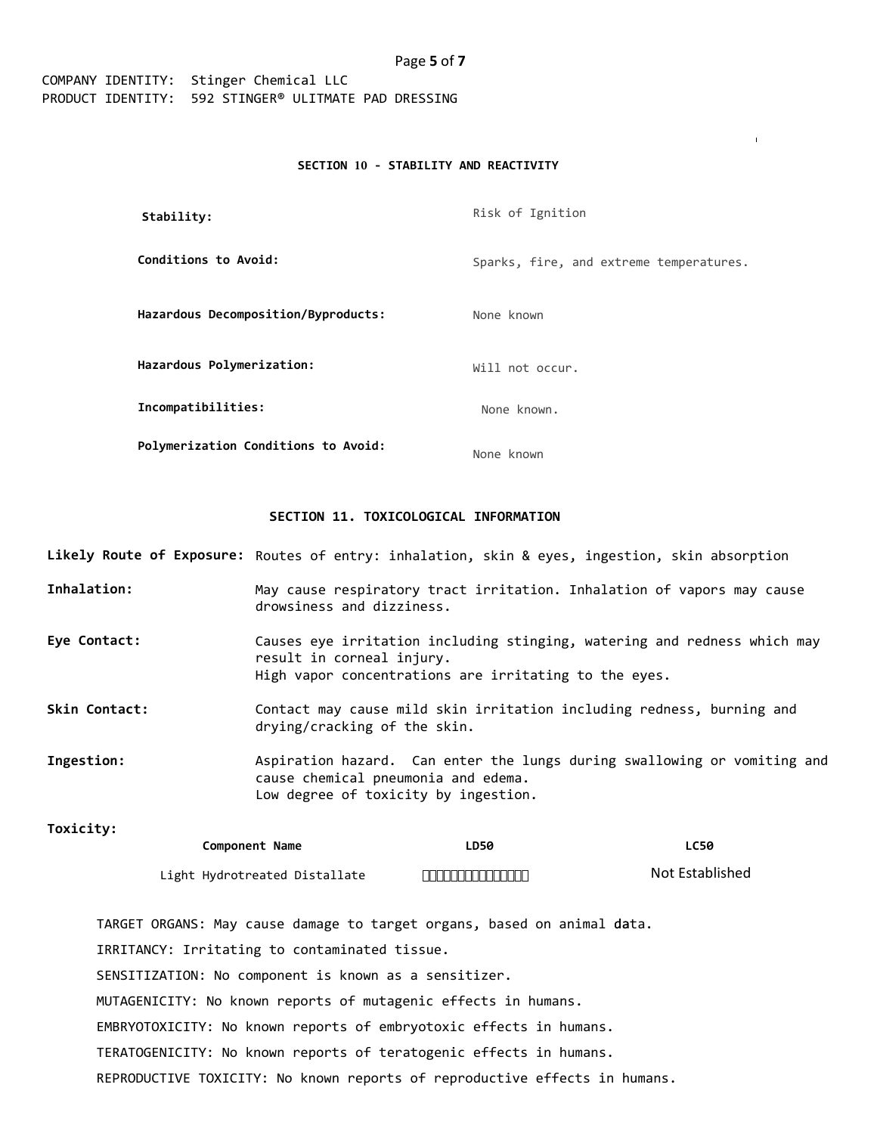#### **SECTION 10 - STABILITY AND REACTIVITY**

| Stability:                          | Risk of Ignition                        |
|-------------------------------------|-----------------------------------------|
| Conditions to Avoid:                | Sparks, fire, and extreme temperatures. |
| Hazardous Decomposition/Byproducts: | None known                              |
| Hazardous Polymerization:           | Will not occur.                         |
| Incompatibilities:                  | None known.                             |
| Polymerization Conditions to Avoid: | None known                              |

## **SECTION 11. TOXICOLOGICAL INFORMATION**

**Likely Route of Exposure:** Routes of entry: inhalation, skin & eyes, ingestion, skin absorption

- **Inhalation:** May cause respiratory tract irritation. Inhalation of vapors may cause drowsiness and dizziness.
- **Eye Contact:** Causes eye irritation including stinging, watering and redness which may result in corneal injury. High vapor concentrations are irritating to the eyes.
- **Skin Contact:** Contact may cause mild skin irritation including redness, burning and drying/cracking of the skin.

**Ingestion:** Aspiration hazard. Can enter the lungs during swallowing or vomiting and cause chemical pneumonia and edema. Low degree of toxicity by ingestion.

**Toxicity: LC50** Not Established **Component Name** Light Hydrotreated Distallate **LD50** "«° + 1 - ° š> " $\Psi$  ¤;  $\ddot{Y}$ 

TARGET ORGANS: May cause damage to target organs, based on animal data. IRRITANCY: Irritating to contaminated tissue. SENSITIZATION: No component is known as a sensitizer. MUTAGENICITY: No known reports of mutagenic effects in humans. EMBRYOTOXICITY: No known reports of embryotoxic effects in humans. TERATOGENICITY: No known reports of teratogenic effects in humans. REPRODUCTIVE TOXICITY: No known reports of reproductive effects in humans.

## Page **5** of **7**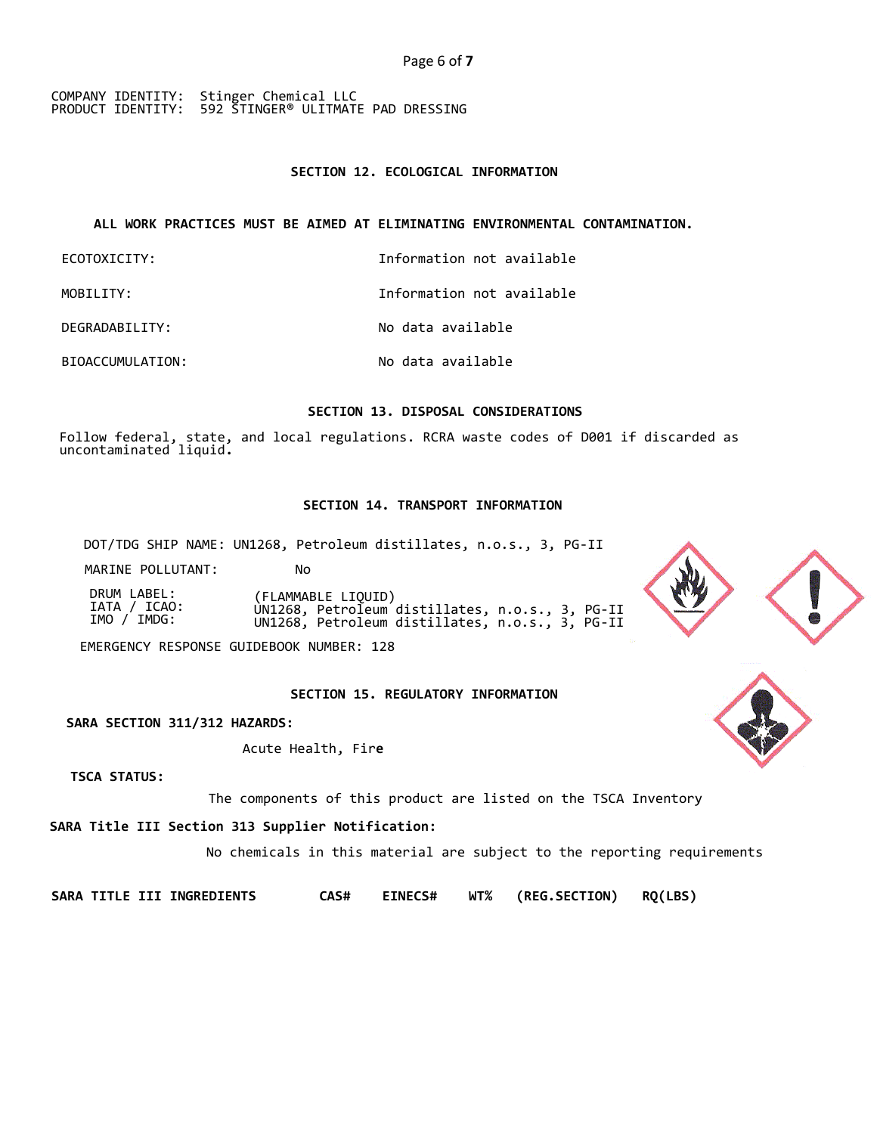## **SECTION 12. ECOLOGICAL INFORMATION**

## **ALL WORK PRACTICES MUST BE AIMED AT ELIMINATING ENVIRONMENTAL CONTAMINATION.**

| ECOTOXICITY:     | Information not available |
|------------------|---------------------------|
| MOBILITY:        | Information not available |
| DEGRADABILITY:   | No data available         |
| BIOACCUMULATION: | No data available         |

## **SECTION 13. DISPOSAL CONSIDERATIONS**

Follow federal, state, and local regulations. RCRA waste codes of D001 if discarded as uncontaminated liquid**.**

## **SECTION 14. TRANSPORT INFORMATION**

DOT/TDG SHIP NAME: UN1268, Petroleum distillates, n.o.s., 3, PG-II

MARINE POLLUTANT: No

DRUM LABEL: (FLAMMABLE LIQUID) IATA / ICAO: UN1268, Petroleum distillates, n.o.s., 3, PG-II IMO / IMDG: UN1268, Petroleum distillates, n.o.s., 3, PG-II

EMERGENCY RESPONSE GUIDEBOOK NUMBER: 128

 **SECTION 15. REGULATORY INFORMATION** 

**SARA SECTION 311/312 HAZARDS:**

Acute Health, Fir**e**

**TSCA STATUS:**

The components of this product are listed on the TSCA Inventory

**SARA Title III Section 313 Supplier Notification:** 

No chemicals in this material are subject to the reporting requirements

**SARA TITLE III INGREDIENTS CAS# EINECS# WT% (REG.SECTION) RQ(LBS)**